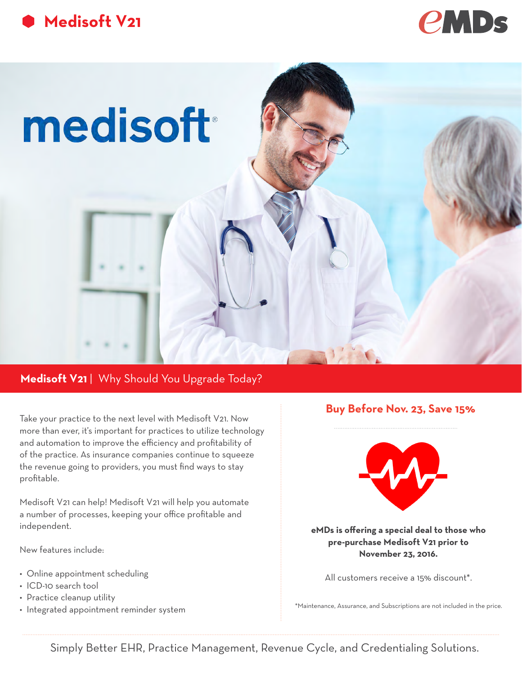





# Medisoft V21 | Why Should You Upgrade Today?

Take your practice to the next level with Medisoft V21. Now more than ever, it's important for practices to utilize technology and automation to improve the efficiency and profitability of of the practice. As insurance companies continue to squeeze the revenue going to providers, you must find ways to stay profitable.

Medisoft V21 can help! Medisoft V21 will help you automate a number of processes, keeping your office profitable and independent.

New features include:

- Online appointment scheduling
- ICD-10 search tool
- Practice cleanup utility
- Integrated appointment reminder system

## **Buy Before Nov. 23, Save 15%**



**eMDs is offering a special deal to those who pre-purchase Medisoft V21 prior to November 23, 2016.** 

All customers receive a 15% discount\*.

\*Maintenance, Assurance, and Subscriptions are not included in the price.

Simply Better EHR, Practice Management, Revenue Cycle, and Credentialing Solutions.